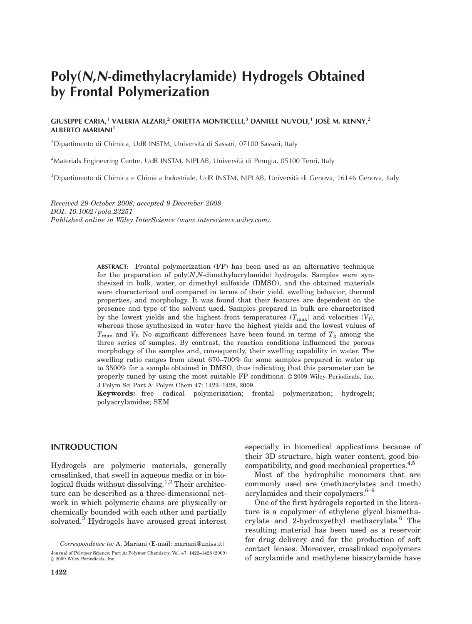# Poly(N,N-dimethylacrylamide) Hydrogels Obtained by Frontal Polymerization

# GIUSEPPE CARIA,<sup>1</sup> VALERIA ALZARI,<sup>2</sup> ORIETTA MONTICELLI,<sup>3</sup> DANIELE NUVOLI,<sup>1</sup> JOSÈ M. KENNY,<sup>2</sup> **ALBERTO MARIANI<sup>1</sup>**

<sup>1</sup>Dipartimento di Chimica, UdR INSTM, Università di Sassari, 07100 Sassari, Italy

<sup>2</sup>Materials Engineering Centre, UdR INSTM, NIPLAB, Università di Perugia, 05100 Terni, Italy

<sup>3</sup>Dipartimento di Chimica e Chimica Industriale, UdR INSTM, NIPLAB, Università di Genova, 16146 Genova, Italy

Received 29 October 2008; accepted 9 December 2008 DOI: 10.1002/pola.23251 Published online in Wiley InterScience (www.interscience.wiley.com).

> ABSTRACT: Frontal polymerization (FP) has been used as an alternative technique for the preparation of  $poly(N,N$ -dimethylacrylamide) hydrogels. Samples were synthesized in bulk, water, or dimethyl sulfoxide (DMSO), and the obtained materials were characterized and compared in terms of their yield, swelling behavior, thermal properties, and morphology. It was found that their features are dependent on the presence and type of the solvent used. Samples prepared in bulk are characterized by the lowest yields and the highest front temperatures  $(T_{\text{max}})$  and velocities  $(V_f)$ , whereas those synthesized in water have the highest yields and the lowest values of  $T_{\text{max}}$  and  $V_f$ . No significant differences have been found in terms of  $T_g$  among the three series of samples. By contrast, the reaction conditions influenced the porous morphology of the samples and, consequently, their swelling capability in water. The swelling ratio ranges from about 670–700% for some samples prepared in water up to 3500% for a sample obtained in DMSO, thus indicating that this parameter can be properly tuned by using the most suitable  $FP$  conditions.  $\oslash$  2009 Wiley Periodicals, Inc. J Polym Sci Part A: Polym Chem 47: 1422–1428, 2009

> Keywords: free radical polymerization; frontal polymerization; hydrogels; polyacrylamides; SEM

## INTRODUCTION

Hydrogels are polymeric materials, generally crosslinked, that swell in aqueous media or in biological fluids without dissolving.<sup>1,2</sup> Their architecture can be described as a three-dimensional network in which polymeric chains are physically or chemically bounded with each other and partially solvated.<sup>3</sup> Hydrogels have aroused great interest especially in biomedical applications because of their 3D structure, high water content, good biocompatibility, and good mechanical properties.<sup>4,5</sup>

Most of the hydrophilic monomers that are commonly used are (meth)acrylates and (meth) acrylamides and their copolymers.<sup>6-9</sup>

One of the first hydrogels reported in the literature is a copolymer of ethylene glycol bismethacrylate and 2-hydroxyethyl methacrylate.6 The resulting material has been used as a reservoir for drug delivery and for the production of soft contact lenses. Moreover, crosslinked copolymers

Journal of Polymer Science: Part A: Polymer Chemistry, Vol. 47, 1422-1428 (2009) COLLACT LELISES. MOTEOVET, CLOSSITIKED COPOLYTIELS<br>© 2009 Wiley Periodicals, Inc. 6 of acrylamide and methylene bisacrylamide have  $© 2009 Wiley Periodicals, Inc.$ Correspondence to: A. Mariani (E-mail: mariani@uniss.it)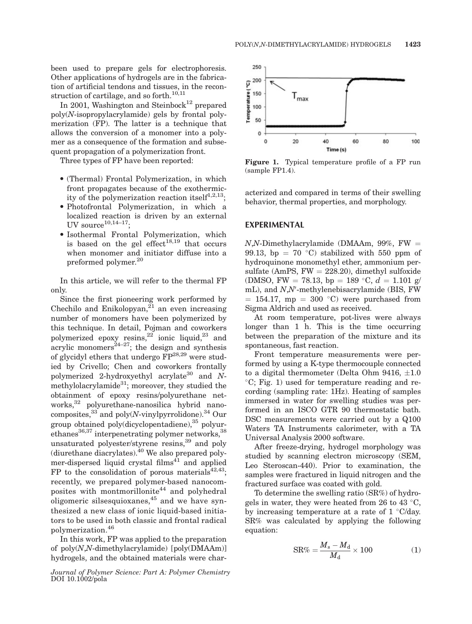been used to prepare gels for electrophoresis. Other applications of hydrogels are in the fabrication of artificial tendons and tissues, in the reconstruction of cartilage, and so forth.<sup>10,11</sup>

In 2001, Washington and Steinbock<sup>12</sup> prepared poly(N-isopropylacrylamide) gels by frontal polymerization (FP). The latter is a technique that allows the conversion of a monomer into a polymer as a consequence of the formation and subsequent propagation of a polymerization front.

Three types of FP have been reported:

- (Thermal) Frontal Polymerization, in which front propagates because of the exothermicity of the polymerization reaction itself<sup>1,2,13</sup>:
- Photofrontal Polymerization, in which a localized reaction is driven by an external UV source $10,14-17$ ;
- Isothermal Frontal Polymerization, which is based on the gel effect<sup>18,19</sup> that occurs when monomer and initiator diffuse into a preformed polymer.<sup>20</sup>

In this article, we will refer to the thermal FP only.

Since the first pioneering work performed by Chechilo and Enikolopyan, $^{21}$  an even increasing number of monomers have been polymerized by this technique. In detail, Pojman and coworkers polymerized epoxy resins,<sup>22</sup> ionic liquid,<sup>23</sup> and acrylic monomers $^{24-27}$ ; the design and synthesis of glycidyl ethers that undergo  $FP^{28,29}$  were studied by Crivello; Chen and coworkers frontally polymerized 2-hydroxyethyl acrylate<sup>30</sup> and Nmethylolacrylamide<sup>31</sup>; moreover, they studied the obtainment of epoxy resins/polyurethane networks,<sup>32</sup> polyurethane-nanosilica hybrid nanocomposites, $33$  and poly(N-vinylpyrrolidone). $34$  Our group obtained poly(dicyclopentadiene), $35$  polyurethanes $^{36,37}$  interpenetrating polymer networks,  $^{38}$ unsaturated polyester/styrene resins,39 and poly (diurethane diacrylates).40 We also prepared polymer-dispersed liquid crystal films $41$  and applied FP to the consolidation of porous materials $42,43$ ; recently, we prepared polymer-based nanocomposites with montmorillonite<sup>44</sup> and polyhedral oligomeric silsesquioxanes, $45$  and we have synthesized a new class of ionic liquid-based initiators to be used in both classic and frontal radical polymerization.<sup>46</sup>

In this work, FP was applied to the preparation of  $poly(N.N$ -dimethylacrylamide)  $[poly(DMAAm)]$ hydrogels, and the obtained materials were char-





Figure 1. Typical temperature profile of a FP run (sample FP1.4).

acterized and compared in terms of their swelling behavior, thermal properties, and morphology.

## EXPERIMENTAL

 $N$ ,N-Dimethylacrylamide (DMAAm, 99%, FW = 99.13, bp = 70 °C) stabilized with 550 ppm of hydroquinone monomethyl ether, ammonium persulfate (AmPS,  $FW = 228.20$ ), dimethyl sulfoxide (DMSO, FW = 78.13, bp = 189 °C,  $d = 1.101$  g/ mL), and N,N'-methylenebisacrylamide (BIS, FW  $= 154.17$ , mp  $= 300$  °C) were purchased from Sigma Aldrich and used as received.

At room temperature, pot-lives were always longer than 1 h. This is the time occurring between the preparation of the mixture and its spontaneous, fast reaction.

Front temperature measurements were performed by using a K-type thermocouple connected to a digital thermometer (Delta Ohm 9416,  $\pm 1.0$ C; Fig. 1) used for temperature reading and recording (sampling rate: 1Hz). Heating of samples immersed in water for swelling studies was performed in an ISCO GTR 90 thermostatic bath. DSC measurements were carried out by a Q100 Waters TA Instruments calorimeter, with a TA Universal Analysis 2000 software.

After freeze-drying, hydrogel morphology was studied by scanning electron microscopy (SEM, Leo Steroscan-440). Prior to examination, the samples were fractured in liquid nitrogen and the fractured surface was coated with gold.

To determine the swelling ratio (SR%) of hydrogels in water, they were heated from 26 to 43  $\degree$ C, by increasing temperature at a rate of  $1 \degree$ C/day. SR% was calculated by applying the following equation:

$$
SR\% = \frac{M_s - M_d}{M_d} \times 100\tag{1}
$$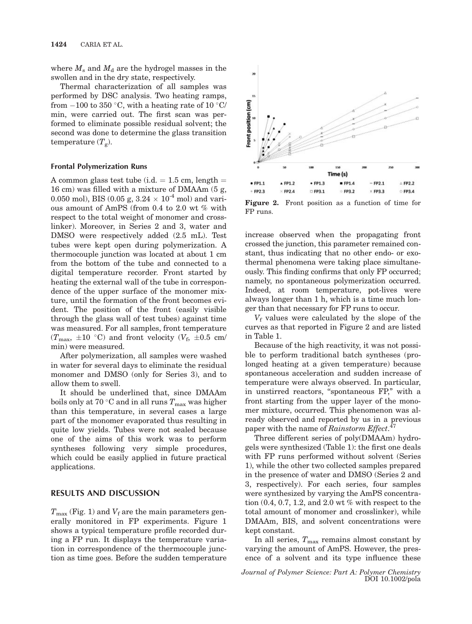where  $M_s$  and  $M_d$  are the hydrogel masses in the swollen and in the dry state, respectively.

Thermal characterization of all samples was performed by DSC analysis. Two heating ramps, from  $-100$  to 350 °C, with a heating rate of 10 °C/ min, were carried out. The first scan was performed to eliminate possible residual solvent; the second was done to determine the glass transition temperature  $(T_g)$ .

#### Frontal Polymerization Runs

A common glass test tube (i.d.  $= 1.5$  cm, length  $=$ 16 cm) was filled with a mixture of DMAAm (5 g, 0.050 mol), BIS (0.05 g,  $3.24 \times 10^{-4}$  mol) and various amount of AmPS (from 0.4 to 2.0 wt % with respect to the total weight of monomer and crosslinker). Moreover, in Series 2 and 3, water and DMSO were respectively added (2.5 mL). Test tubes were kept open during polymerization. A thermocouple junction was located at about 1 cm from the bottom of the tube and connected to a digital temperature recorder. Front started by heating the external wall of the tube in correspondence of the upper surface of the monomer mixture, until the formation of the front becomes evident. The position of the front (easily visible through the glass wall of test tubes) against time was measured. For all samples, front temperature  $(T_{\text{max}}, \pm 10 \degree \text{C})$  and front velocity  $(V_f, \pm 0.5 \degree \text{cm})$ min) were measured.

After polymerization, all samples were washed in water for several days to eliminate the residual monomer and DMSO (only for Series 3), and to allow them to swell.

It should be underlined that, since DMAAm boils only at 70 °C and in all runs  $T_{\text{max}}$  was higher than this temperature, in several cases a large part of the monomer evaporated thus resulting in quite low yields. Tubes were not sealed because one of the aims of this work was to perform syntheses following very simple procedures, which could be easily applied in future practical applications.

# RESULTS AND DISCUSSION

 $T_{\text{max}}$  (Fig. 1) and  $V_{\text{f}}$  are the main parameters generally monitored in FP experiments. Figure 1 shows a typical temperature profile recorded during a FP run. It displays the temperature variation in correspondence of the thermocouple junction as time goes. Before the sudden temperature



Figure 2. Front position as a function of time for FP runs.

increase observed when the propagating front crossed the junction, this parameter remained constant, thus indicating that no other endo- or exothermal phenomena were taking place simultaneously. This finding confirms that only FP occurred; namely, no spontaneous polymerization occurred. Indeed, at room temperature, pot-lives were always longer than 1 h, which is a time much longer than that necessary for FP runs to occur.

 $V_f$  values were calculated by the slope of the curves as that reported in Figure 2 and are listed in Table 1.

Because of the high reactivity, it was not possible to perform traditional batch syntheses (prolonged heating at a given temperature) because spontaneous acceleration and sudden increase of temperature were always observed. In particular, in unstirred reactors, "spontaneous FP," with a front starting from the upper layer of the monomer mixture, occurred. This phenomenon was already observed and reported by us in a previous paper with the name of Rainstorm Effect.<sup>47</sup>

Three different series of poly(DMAAm) hydrogels were synthesized (Table 1): the first one deals with FP runs performed without solvent (Series 1), while the other two collected samples prepared in the presence of water and DMSO (Series 2 and 3, respectively). For each series, four samples were synthesized by varying the AmPS concentration  $(0.4, 0.7, 1.2,$  and  $2.0$  wt % with respect to the total amount of monomer and crosslinker), while DMAAm, BIS, and solvent concentrations were kept constant.

In all series,  $T_{\text{max}}$  remains almost constant by varying the amount of AmPS. However, the presence of a solvent and its type influence these

Journal of Polymer Science: Part A: Polymer Chemistry DOI 10.1002/pola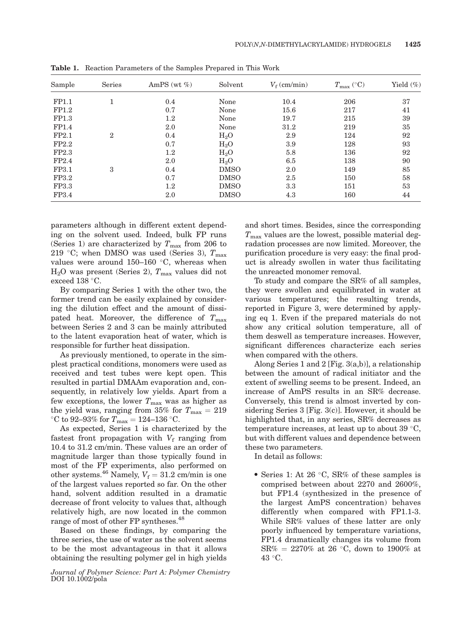| Sample | Series         | AmPS (wt $%$ ) | Solvent     | $V_f$ (cm/min) | $T_{\text{max}}$ (°C) | Yield $(\%)$ |
|--------|----------------|----------------|-------------|----------------|-----------------------|--------------|
| FP1.1  |                | 0.4            | None        | 10.4           | 206                   | 37           |
| FP1.2  |                | 0.7            | None        | 15.6           | 217                   | 41           |
| FP1.3  |                | $1.2\,$        | None        | 19.7           | 215                   | 39           |
| FP1.4  |                | 2.0            | None        | 31.2           | 219                   | 35           |
| FP2.1  | $\overline{2}$ | 0.4            | $H_2O$      | 2.9            | 124                   | 92           |
| FP2.2  |                | 0.7            | $H_2O$      | 3.9            | 128                   | 93           |
| FP2.3  |                | 1.2            | $H_2O$      | 5.8            | 136                   | 92           |
| FP2.4  |                | 2.0            | $H_2O$      | 6.5            | 138                   | 90           |
| FP3.1  | 3              | 0.4            | <b>DMSO</b> | 2.0            | 149                   | 85           |
| FP3.2  |                | 0.7            | <b>DMSO</b> | 2.5            | 150                   | 58           |
| FP3.3  |                | 1.2            | <b>DMSO</b> | 3.3            | 151                   | 53           |
| FP3.4  |                | 2.0            | <b>DMSO</b> | 4.3            | 160                   | 44           |

Table 1. Reaction Parameters of the Samples Prepared in This Work

parameters although in different extent depending on the solvent used. Indeed, bulk FP runs (Series 1) are characterized by  $T_{\text{max}}$  from 206 to 219 °C; when DMSO was used (Series 3),  $T_{\text{max}}$ values were around  $150-160$  °C, whereas when  $H<sub>2</sub>O$  was present (Series 2),  $T<sub>max</sub>$  values did not exceed  $138$  °C.

By comparing Series 1 with the other two, the former trend can be easily explained by considering the dilution effect and the amount of dissipated heat. Moreover, the difference of  $T_{\text{max}}$ between Series 2 and 3 can be mainly attributed to the latent evaporation heat of water, which is responsible for further heat dissipation.

As previously mentioned, to operate in the simplest practical conditions, monomers were used as received and test tubes were kept open. This resulted in partial DMAAm evaporation and, consequently, in relatively low yields. Apart from a few exceptions, the lower  $T_{\text{max}}$  was as higher as the yield was, ranging from 35% for  $T_{\text{max}} = 219$ <br>°C to 92–93% for  $T_{\text{max}} = 124$ –136 °C.

As expected, Series 1 is characterized by the fastest front propagation with  $V_f$  ranging from 10.4 to 31.2 cm/min. These values are an order of magnitude larger than those typically found in most of the FP experiments, also performed on other systems.<sup>46</sup> Namely,  $V_f = 31.2$  cm/min is one of the largest values reported so far. On the other hand, solvent addition resulted in a dramatic decrease of front velocity to values that, although relatively high, are now located in the common range of most of other FP syntheses.<sup>48</sup>

Based on these findings, by comparing the three series, the use of water as the solvent seems to be the most advantageous in that it allows obtaining the resulting polymer gel in high yields

Journal of Polymer Science: Part A: Polymer Chemistry DOI 10.1002/pola

and short times. Besides, since the corresponding  $T_{\text{max}}$  values are the lowest, possible material degradation processes are now limited. Moreover, the purification procedure is very easy: the final product is already swollen in water thus facilitating the unreacted monomer removal.

To study and compare the SR% of all samples, they were swollen and equilibrated in water at various temperatures; the resulting trends, reported in Figure 3, were determined by applying eq 1. Even if the prepared materials do not show any critical solution temperature, all of them deswell as temperature increases. However, significant differences characterize each series when compared with the others.

Along Series 1 and 2 [Fig. 3(a,b)], a relationship between the amount of radical initiator and the extent of swelling seems to be present. Indeed, an increase of AmPS results in an SR% decrease. Conversely, this trend is almost inverted by considering Series 3 [Fig. 3(c)]. However, it should be highlighted that, in any series, SR% decreases as temperature increases, at least up to about 39  $\degree$ C, but with different values and dependence between these two parameters.

In detail as follows:

• Series 1: At 26  $\degree$ C, SR% of these samples is comprised between about 2270 and 2600%, but FP1.4 (synthesized in the presence of the largest AmPS concentration) behaves differently when compared with FP1.1-3. While SR% values of these latter are only poorly influenced by temperature variations, FP1.4 dramatically changes its volume from  $SR\% = 2270\%$  at 26 °C, down to 1900\% at 43 °C.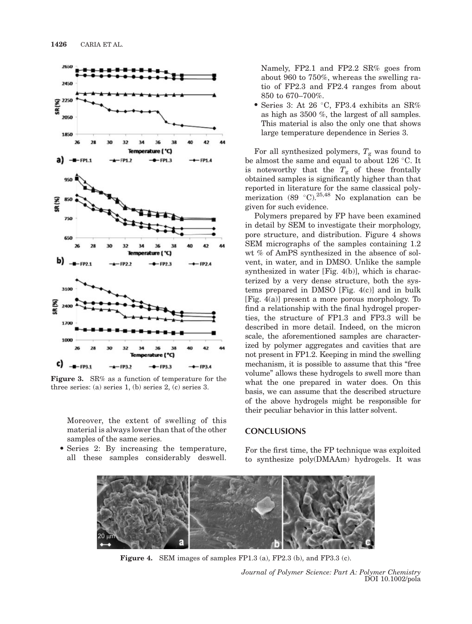

Figure 3. SR% as a function of temperature for the three series: (a) series 1, (b) series 2, (c) series 3.

Moreover, the extent of swelling of this material is always lower than that of the other samples of the same series.

• Series 2: By increasing the temperature, all these samples considerably deswell. Namely, FP2.1 and FP2.2 SR% goes from about 960 to 750%, whereas the swelling ratio of FP2.3 and FP2.4 ranges from about 850 to 670–700%.

• Series 3: At 26 °C, FP3.4 exhibits an SR% as high as 3500 %, the largest of all samples. This material is also the only one that shows large temperature dependence in Series 3.

For all synthesized polymers,  $T_g$  was found to be almost the same and equal to about 126  $\,^{\circ}$ C. It is noteworthy that the  $T_g$  of these frontally obtained samples is significantly higher than that reported in literature for the same classical polymerization (89 °C).<sup>25,48</sup> No explanation can be given for such evidence.

Polymers prepared by FP have been examined in detail by SEM to investigate their morphology, pore structure, and distribution. Figure 4 shows SEM micrographs of the samples containing 1.2 wt % of AmPS synthesized in the absence of solvent, in water, and in DMSO. Unlike the sample synthesized in water [Fig. 4(b)], which is characterized by a very dense structure, both the systems prepared in DMSO [Fig. 4(c)] and in bulk [Fig. 4(a)] present a more porous morphology. To find a relationship with the final hydrogel properties, the structure of FP1.3 and FP3.3 will be described in more detail. Indeed, on the micron scale, the aforementioned samples are characterized by polymer aggregates and cavities that are not present in FP1.2. Keeping in mind the swelling mechanism, it is possible to assume that this "free volume'' allows these hydrogels to swell more than what the one prepared in water does. On this basis, we can assume that the described structure of the above hydrogels might be responsible for their peculiar behavior in this latter solvent.

## **CONCLUSIONS**

For the first time, the FP technique was exploited to synthesize poly(DMAAm) hydrogels. It was



Figure 4. SEM images of samples FP1.3 (a), FP2.3 (b), and FP3.3 (c).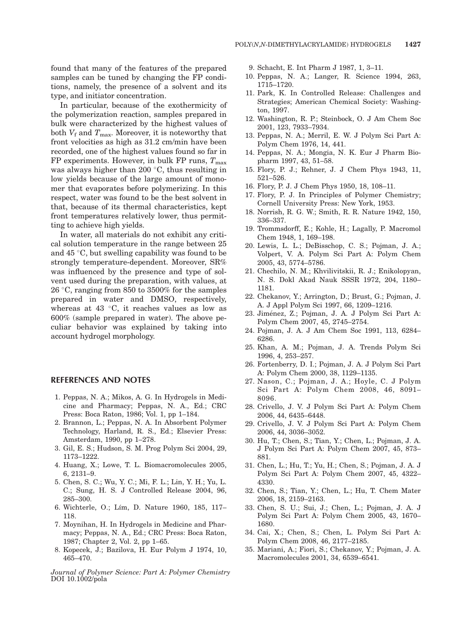found that many of the features of the prepared samples can be tuned by changing the FP conditions, namely, the presence of a solvent and its type, and initiator concentration.

In particular, because of the exothermicity of the polymerization reaction, samples prepared in bulk were characterized by the highest values of both  $V_f$  and  $T_{\text{max}}$ . Moreover, it is noteworthy that front velocities as high as 31.2 cm/min have been recorded, one of the highest values found so far in FP experiments. However, in bulk FP runs,  $T_{\text{max}}$ was always higher than 200 $\degree$ C, thus resulting in low yields because of the large amount of monomer that evaporates before polymerizing. In this respect, water was found to be the best solvent in that, because of its thermal characteristics, kept front temperatures relatively lower, thus permitting to achieve high yields.

In water, all materials do not exhibit any critical solution temperature in the range between 25 and  $45^{\circ}$ C, but swelling capability was found to be strongly temperature-dependent. Moreover, SR% was influenced by the presence and type of solvent used during the preparation, with values, at 26 °C, ranging from 850 to 3500% for the samples prepared in water and DMSO, respectively, whereas at 43 $\degree$ C, it reaches values as low as 600% (sample prepared in water). The above peculiar behavior was explained by taking into account hydrogel morphology.

## REFERENCES AND NOTES

- 1. Peppas, N. A.; Mikos, A. G. In Hydrogels in Medicine and Pharmacy; Peppas, N. A., Ed.; CRC Press: Boca Raton, 1986; Vol. 1, pp 1–184.
- 2. Brannon, L.; Peppas, N. A. In Absorbent Polymer Technology, Harland, R. S., Ed.; Elsevier Press: Amsterdam, 1990, pp 1–278.
- 3. Gil, E. S.; Hudson, S. M. Prog Polym Sci 2004, 29, 1173–1222.
- 4. Huang, X.; Lowe, T. L. Biomacromolecules 2005, 6, 2131–9.
- 5. Chen, S. C.; Wu, Y. C.; Mi, F. L.; Lin, Y. H.; Yu, L. C.; Sung, H. S. J Controlled Release 2004, 96, 285–300.
- 6. Wichterle, O.; Lím, D. Nature 1960, 185, 117– 118.
- 7. Moynihan, H. In Hydrogels in Medicine and Pharmacy; Peppas, N. A., Ed.; CRC Press: Boca Raton, 1987; Chapter 2, Vol. 2, pp 1–65.
- 8. Kopecek, J.; Bazilova, H. Eur Polym J 1974, 10, 465–470.

Journal of Polymer Science: Part A: Polymer Chemistry DOI 10.1002/pola

- 9. Schacht, E. Int Pharm J 1987, 1, 3–11.
- 10. Peppas, N. A.; Langer, R. Science 1994, 263, 1715–1720.
- 11. Park, K. In Controlled Release: Challenges and Strategies; American Chemical Society: Washington, 1997.
- 12. Washington, R. P.; Steinbock, O. J Am Chem Soc 2001, 123, 7933–7934.
- 13. Peppas, N. A.; Merril, E. W. J Polym Sci Part A: Polym Chem 1976, 14, 441.
- 14. Peppas, N. A.; Mongia, N. K. Eur J Pharm Biopharm 1997, 43, 51–58.
- 15. Flory, P. J.; Rehner, J. J Chem Phys 1943, 11, 521–526.
- 16. Flory, P. J. J Chem Phys 1950, 18, 108–11.
- 17. Flory, P. J. In Principles of Polymer Chemistry; Cornell University Press: New York, 1953.
- 18. Norrish, R. G. W.; Smith, R. R. Nature 1942, 150, 336–337.
- 19. Trommsdorff, E.; Kohle, H.; Lagally, P. Macromol Chem 1948, 1, 169–198.
- 20. Lewis, L. L.; DeBisschop, C. S.; Pojman, J. A.; Volpert, V. A. Polym Sci Part A: Polym Chem 2005, 43, 5774–5786.
- 21. Chechilo, N. M.; Khvilivitskii, R. J.; Enikolopyan, N. S. Dokl Akad Nauk SSSR 1972, 204, 1180– 1181.
- 22. Chekanov, Y.; Arrington, D.; Brust, G.; Pojman, J. A. J Appl Polym Sci 1997, 66, 1209–1216.
- 23. Jiménez, Z.; Pojman, J. A. J Polym Sci Part A: Polym Chem 2007, 45, 2745–2754.
- 24. Pojman, J. A. J Am Chem Soc 1991, 113, 6284– 6286.
- 25. Khan, A. M.; Pojman, J. A. Trends Polym Sci 1996, 4, 253–257.
- 26. Fortenberry, D. I.; Pojman, J. A. J Polym Sci Part A: Polym Chem 2000, 38, 1129–1135.
- 27. Nason, C.; Pojman, J. A.; Hoyle, C. J Polym Sci Part A: Polym Chem 2008, 46, 8091– 8096.
- 28. Crivello, J. V. J Polym Sci Part A: Polym Chem 2006, 44, 6435–6448.
- 29. Crivello, J. V. J Polym Sci Part A: Polym Chem 2006, 44, 3036–3052.
- 30. Hu, T.; Chen, S.; Tian, Y.; Chen, L.; Pojman, J. A. J Polym Sci Part A: Polym Chem 2007, 45, 873– 881.
- 31. Chen, L.; Hu, T.; Yu, H.; Chen, S.; Pojman, J. A. J Polym Sci Part A: Polym Chem 2007, 45, 4322– 4330.
- 32. Chen, S.; Tian, Y.; Chen, L.; Hu, T. Chem Mater 2006, 18, 2159–2163.
- 33. Chen, S. U.; Sui, J.; Chen, L.; Pojman, J. A. J Polym Sci Part A: Polym Chem 2005, 43, 1670– 1680.
- 34. Cai, X.; Chen, S.; Chen, L. Polym Sci Part A: Polym Chem 2008, 46, 2177–2185.
- 35. Mariani, A.; Fiori, S.; Chekanov, Y.; Pojman, J. A. Macromolecules 2001, 34, 6539–6541.